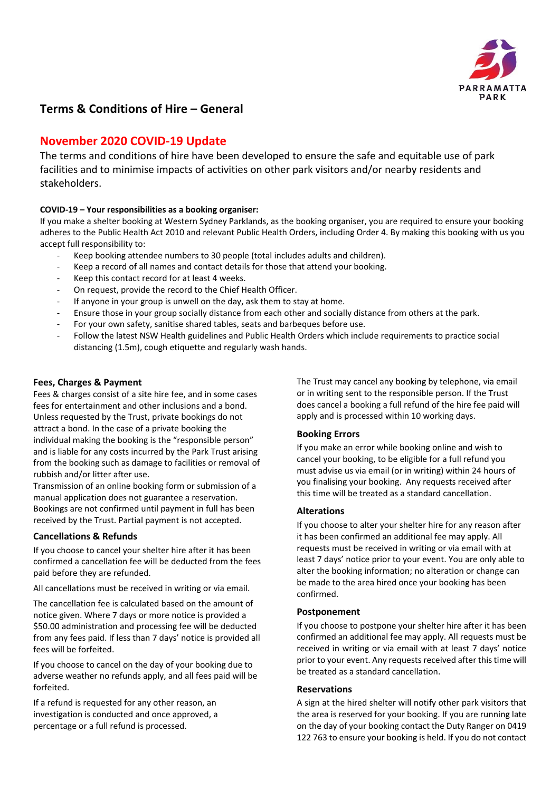

# **Terms & Conditions of Hire – General**

# **November 2020 COVID‐19 Update**

The terms and conditions of hire have been developed to ensure the safe and equitable use of park facilities and to minimise impacts of activities on other park visitors and/or nearby residents and stakeholders.

# **COVID‐19 – Your responsibilities as a booking organiser:**

If you make a shelter booking at Western Sydney Parklands, as the booking organiser, you are required to ensure your booking adheres to the Public Health Act 2010 and relevant Public Health Orders, including Order 4. By making this booking with us you accept full responsibility to:

- ‐ Keep booking attendee numbers to 30 people (total includes adults and children).
- ‐ Keep a record of all names and contact details for those that attend your booking.
- Keep this contact record for at least 4 weeks.
- On request, provide the record to the Chief Health Officer.
- If anyone in your group is unwell on the day, ask them to stay at home.
- ‐ Ensure those in your group socially distance from each other and socially distance from others at the park.
- ‐ For your own safety, sanitise shared tables, seats and barbeques before use.
- ‐ Follow the latest NSW Health guidelines and Public Health Orders which include requirements to practice social distancing (1.5m), cough etiquette and regularly wash hands.

## **Fees, Charges & Payment**

Fees & charges consist of a site hire fee, and in some cases fees for entertainment and other inclusions and a bond. Unless requested by the Trust, private bookings do not attract a bond. In the case of a private booking the individual making the booking is the "responsible person" and is liable for any costs incurred by the Park Trust arising from the booking such as damage to facilities or removal of rubbish and/or litter after use.

Transmission of an online booking form or submission of a manual application does not guarantee a reservation. Bookings are not confirmed until payment in full has been received by the Trust. Partial payment is not accepted.

# **Cancellations & Refunds**

If you choose to cancel your shelter hire after it has been confirmed a cancellation fee will be deducted from the fees paid before they are refunded.

All cancellations must be received in writing or via email.

The cancellation fee is calculated based on the amount of notice given. Where 7 days or more notice is provided a \$50.00 administration and processing fee will be deducted from any fees paid. If less than 7 days' notice is provided all fees will be forfeited.

If you choose to cancel on the day of your booking due to adverse weather no refunds apply, and all fees paid will be forfeited.

If a refund is requested for any other reason, an investigation is conducted and once approved, a percentage or a full refund is processed.

The Trust may cancel any booking by telephone, via email or in writing sent to the responsible person. If the Trust does cancel a booking a full refund of the hire fee paid will apply and is processed within 10 working days.

# **Booking Errors**

If you make an error while booking online and wish to cancel your booking, to be eligible for a full refund you must advise us via email (or in writing) within 24 hours of you finalising your booking. Any requests received after this time will be treated as a standard cancellation.

## **Alterations**

If you choose to alter your shelter hire for any reason after it has been confirmed an additional fee may apply. All requests must be received in writing or via email with at least 7 days' notice prior to your event. You are only able to alter the booking information; no alteration or change can be made to the area hired once your booking has been confirmed.

## **Postponement**

If you choose to postpone your shelter hire after it has been confirmed an additional fee may apply. All requests must be received in writing or via email with at least 7 days' notice prior to your event. Any requests received after this time will be treated as a standard cancellation.

#### **Reservations**

A sign at the hired shelter will notify other park visitors that the area is reserved for your booking. If you are running late on the day of your booking contact the Duty Ranger on 0419 122 763 to ensure your booking is held. If you do not contact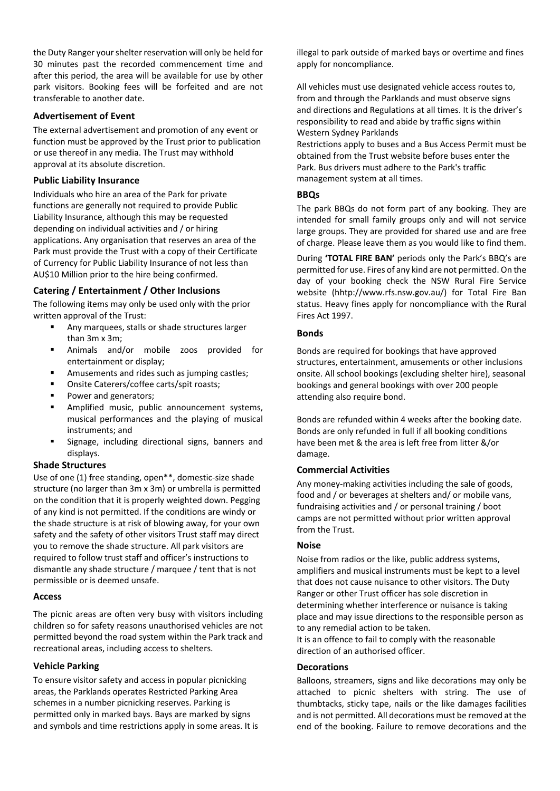the Duty Ranger your shelter reservation will only be held for 30 minutes past the recorded commencement time and after this period, the area will be available for use by other park visitors. Booking fees will be forfeited and are not transferable to another date.

## **Advertisement of Event**

The external advertisement and promotion of any event or function must be approved by the Trust prior to publication or use thereof in any media. The Trust may withhold approval at its absolute discretion.

### **Public Liability Insurance**

Individuals who hire an area of the Park for private functions are generally not required to provide Public Liability Insurance, although this may be requested depending on individual activities and / or hiring applications. Any organisation that reserves an area of the Park must provide the Trust with a copy of their Certificate of Currency for Public Liability Insurance of not less than AU\$10 Million prior to the hire being confirmed.

# **Catering / Entertainment / Other Inclusions**

The following items may only be used only with the prior written approval of the Trust:

- Any marquees, stalls or shade structures larger than 3m x 3m;
- Animals and/or mobile zoos provided for entertainment or display;
- Amusements and rides such as jumping castles;
- Onsite Caterers/coffee carts/spit roasts;
- Power and generators;
- Amplified music, public announcement systems, musical performances and the playing of musical instruments; and
- Signage, including directional signs, banners and displays.

#### **Shade Structures**

Use of one (1) free standing, open\*\*, domestic‐size shade structure (no larger than 3m x 3m) or umbrella is permitted on the condition that it is properly weighted down. Pegging of any kind is not permitted. If the conditions are windy or the shade structure is at risk of blowing away, for your own safety and the safety of other visitors Trust staff may direct you to remove the shade structure. All park visitors are required to follow trust staff and officer's instructions to dismantle any shade structure / marquee / tent that is not permissible or is deemed unsafe.

#### **Access**

The picnic areas are often very busy with visitors including children so for safety reasons unauthorised vehicles are not permitted beyond the road system within the Park track and recreational areas, including access to shelters.

# **Vehicle Parking**

To ensure visitor safety and access in popular picnicking areas, the Parklands operates Restricted Parking Area schemes in a number picnicking reserves. Parking is permitted only in marked bays. Bays are marked by signs and symbols and time restrictions apply in some areas. It is illegal to park outside of marked bays or overtime and fines apply for noncompliance.

All vehicles must use designated vehicle access routes to, from and through the Parklands and must observe signs and directions and Regulations at all times. It is the driver's responsibility to read and abide by traffic signs within Western Sydney Parklands

Restrictions apply to buses and a Bus Access Permit must be obtained from the Trust website before buses enter the Park. Bus drivers must adhere to the Park's traffic management system at all times.

### **BBQs**

The park BBQs do not form part of any booking. They are intended for small family groups only and will not service large groups. They are provided for shared use and are free of charge. Please leave them as you would like to find them.

During **'TOTAL FIRE BAN'** periods only the Park's BBQ's are permitted for use. Fires of any kind are not permitted. On the day of your booking check the NSW Rural Fire Service website (hhtp://www.rfs.nsw.gov.au/) for Total Fire Ban status. Heavy fines apply for noncompliance with the Rural Fires Act 1997.

## **Bonds**

Bonds are required for bookings that have approved structures, entertainment, amusements or other inclusions onsite. All school bookings (excluding shelter hire), seasonal bookings and general bookings with over 200 people attending also require bond.

Bonds are refunded within 4 weeks after the booking date. Bonds are only refunded in full if all booking conditions have been met & the area is left free from litter &/or damage.

# **Commercial Activities**

Any money‐making activities including the sale of goods, food and / or beverages at shelters and/ or mobile vans, fundraising activities and / or personal training / boot camps are not permitted without prior written approval from the Trust.

#### **Noise**

Noise from radios or the like, public address systems, amplifiers and musical instruments must be kept to a level that does not cause nuisance to other visitors. The Duty Ranger or other Trust officer has sole discretion in determining whether interference or nuisance is taking place and may issue directions to the responsible person as to any remedial action to be taken.

It is an offence to fail to comply with the reasonable direction of an authorised officer.

#### **Decorations**

Balloons, streamers, signs and like decorations may only be attached to picnic shelters with string. The use of thumbtacks, sticky tape, nails or the like damages facilities and is not permitted. All decorations must be removed at the end of the booking. Failure to remove decorations and the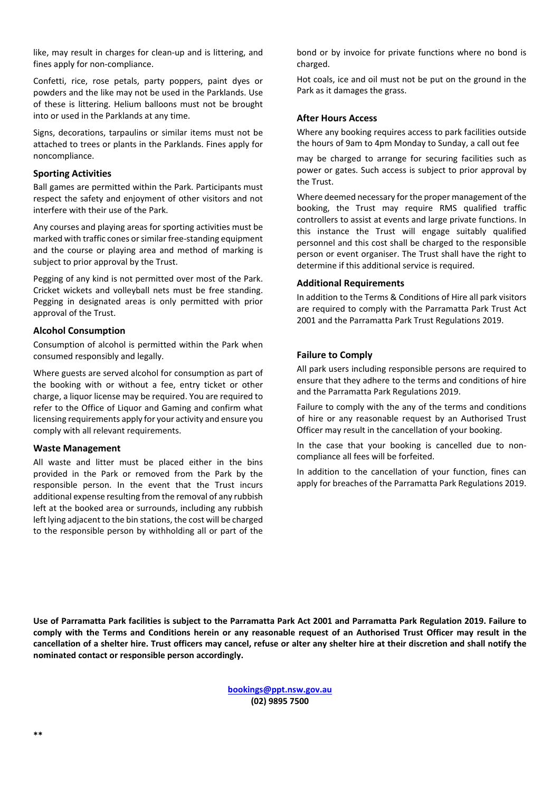like, may result in charges for clean‐up and is littering, and fines apply for non‐compliance.

Confetti, rice, rose petals, party poppers, paint dyes or powders and the like may not be used in the Parklands. Use of these is littering. Helium balloons must not be brought into or used in the Parklands at any time.

Signs, decorations, tarpaulins or similar items must not be attached to trees or plants in the Parklands. Fines apply for noncompliance.

### **Sporting Activities**

Ball games are permitted within the Park. Participants must respect the safety and enjoyment of other visitors and not interfere with their use of the Park.

Any courses and playing areas for sporting activities must be marked with traffic cones or similar free‐standing equipment and the course or playing area and method of marking is subject to prior approval by the Trust.

Pegging of any kind is not permitted over most of the Park. Cricket wickets and volleyball nets must be free standing. Pegging in designated areas is only permitted with prior approval of the Trust.

## **Alcohol Consumption**

Consumption of alcohol is permitted within the Park when consumed responsibly and legally.

Where guests are served alcohol for consumption as part of the booking with or without a fee, entry ticket or other charge, a liquor license may be required. You are required to refer to the Office of Liquor and Gaming and confirm what licensing requirements apply for your activity and ensure you comply with all relevant requirements.

#### **Waste Management**

All waste and litter must be placed either in the bins provided in the Park or removed from the Park by the responsible person. In the event that the Trust incurs additional expense resulting from the removal of any rubbish left at the booked area or surrounds, including any rubbish left lying adjacent to the bin stations, the cost will be charged to the responsible person by withholding all or part of the bond or by invoice for private functions where no bond is charged.

Hot coals, ice and oil must not be put on the ground in the Park as it damages the grass.

## **After Hours Access**

Where any booking requires access to park facilities outside the hours of 9am to 4pm Monday to Sunday, a call out fee

may be charged to arrange for securing facilities such as power or gates. Such access is subject to prior approval by the Trust.

Where deemed necessary for the proper management of the booking, the Trust may require RMS qualified traffic controllers to assist at events and large private functions. In this instance the Trust will engage suitably qualified personnel and this cost shall be charged to the responsible person or event organiser. The Trust shall have the right to determine if this additional service is required.

## **Additional Requirements**

In addition to the Terms & Conditions of Hire all park visitors are required to comply with the Parramatta Park Trust Act 2001 and the Parramatta Park Trust Regulations 2019.

# **Failure to Comply**

All park users including responsible persons are required to ensure that they adhere to the terms and conditions of hire and the Parramatta Park Regulations 2019.

Failure to comply with the any of the terms and conditions of hire or any reasonable request by an Authorised Trust Officer may result in the cancellation of your booking.

In the case that your booking is cancelled due to noncompliance all fees will be forfeited.

In addition to the cancellation of your function, fines can apply for breaches of the Parramatta Park Regulations 2019.

**Use of Parramatta Park facilities is subject to the Parramatta Park Act 2001 and Parramatta Park Regulation 2019. Failure to**  comply with the Terms and Conditions herein or any reasonable request of an Authorised Trust Officer may result in the **cancellation of a shelter hire. Trust officers may cancel, refuse or alter any shelter hire at their discretion and shall notify the nominated contact or responsible person accordingly.** 

> **bookings@ppt.nsw.gov.au (02) 9895 7500**